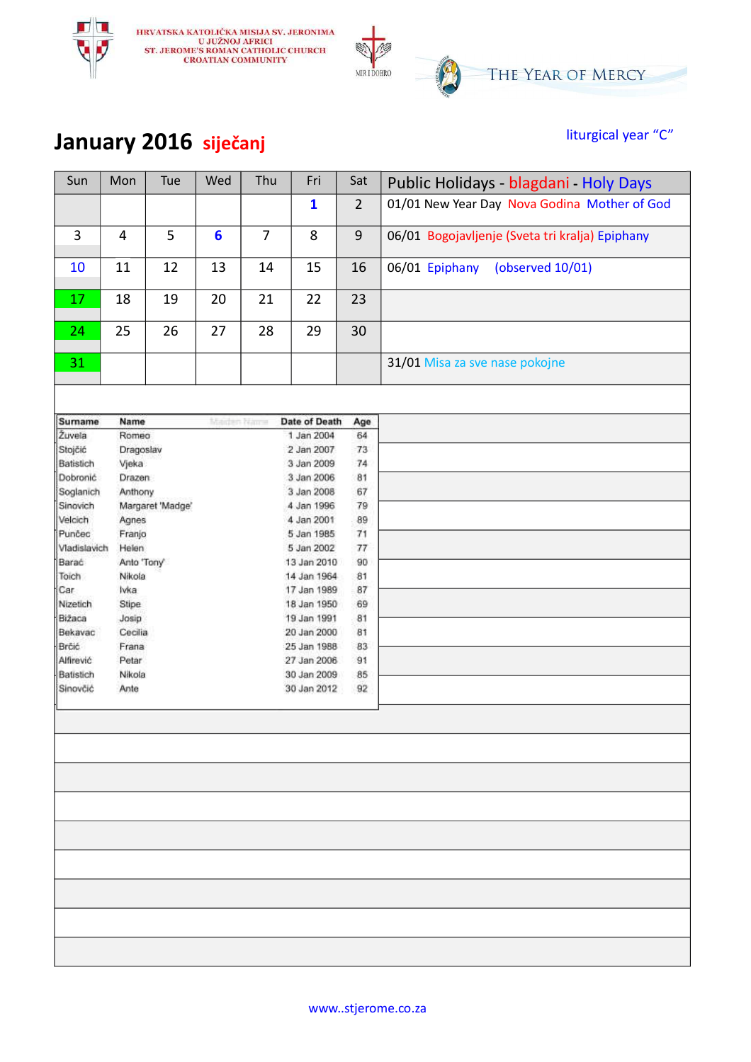



#### **January 2016 siječanj liturgical year "C"**

| Sun                   | Mon            | Tue              | Wed             | Thu            | Fri                        | Sat            | Public Holidays - blagdani - Holy Days          |
|-----------------------|----------------|------------------|-----------------|----------------|----------------------------|----------------|-------------------------------------------------|
|                       |                |                  |                 |                | $\mathbf{1}$               | $\overline{2}$ | 01/01 New Year Day Nova Godina Mother of God    |
| $\overline{3}$        | $\overline{4}$ | 5                | $6\phantom{1}6$ | $\overline{7}$ | 8                          | 9              | 06/01 Bogojavljenje (Sveta tri kralja) Epiphany |
| 10                    | 11             | 12               | 13              | 14             | 15                         | 16             | 06/01 Epiphany<br>(observed 10/01)              |
| 17                    | 18             | 19               | 20              | 21             | 22                         | 23             |                                                 |
| 24                    | 25             | 26               | 27              | 28             | 29                         | 30             |                                                 |
| 31                    |                |                  |                 |                |                            |                | 31/01 Misa za sve nase pokojne                  |
|                       |                |                  |                 |                |                            |                |                                                 |
| Sumame                | Name           |                  | Maiden Name     |                | Date of Death              | Age            |                                                 |
| Žuvela                | Romeo          |                  |                 |                | 1 Jan 2004                 | 64             |                                                 |
| Stojčić               | Dragoslav      |                  |                 |                | 2 Jan 2007                 | 73             |                                                 |
| Batistich             | Vjeka          |                  |                 |                | 3 Jan 2009                 | 74             |                                                 |
| Dobronić              | Drazen         |                  |                 |                | 3 Jan 2006                 | 81             |                                                 |
| Soglanich             | Anthony        |                  |                 |                | 3 Jan 2008                 | 67             |                                                 |
| Sinovich              |                | Margaret 'Madge' |                 |                | 4 Jan 1996                 | 79             |                                                 |
| Velcich               | Agnes          |                  |                 |                | 4 Jan 2001                 | 89             |                                                 |
| Punčec                | Franjo         |                  |                 |                | 5 Jan 1985                 | 71             |                                                 |
| Vladislavich          | Helen          |                  |                 |                | 5 Jan 2002                 | 77             |                                                 |
| Barać                 | Anto 'Tony'    |                  |                 |                | 13 Jan 2010                | 90             |                                                 |
| Toich                 | Nikola         |                  |                 |                | 14 Jan 1964                | 81             |                                                 |
| Car                   | lvka           |                  |                 |                | 17 Jan 1989                | 87             |                                                 |
| Nizetich              | Stipe          |                  |                 |                | 18 Jan 1950                | 69             |                                                 |
| Bižaca                | Josip          |                  |                 |                | 19 Jan 1991                | 81             |                                                 |
| Bekavac               | Cecilia        |                  |                 |                | 20 Jan 2000                | 81             |                                                 |
| Brčić<br>Alfirević    | Frana<br>Petar |                  |                 |                | 25 Jan 1988<br>27 Jan 2006 | 83<br>91       |                                                 |
|                       |                |                  |                 |                | 30 Jan 2009                |                |                                                 |
| Batistich<br>Sinovčić | Nikola<br>Ante |                  |                 |                | 30 Jan 2012                | 85<br>92       |                                                 |
|                       |                |                  |                 |                |                            |                |                                                 |
|                       |                |                  |                 |                |                            |                |                                                 |
|                       |                |                  |                 |                |                            |                |                                                 |
|                       |                |                  |                 |                |                            |                |                                                 |
|                       |                |                  |                 |                |                            |                |                                                 |
|                       |                |                  |                 |                |                            |                |                                                 |
|                       |                |                  |                 |                |                            |                |                                                 |
|                       |                |                  |                 |                |                            |                |                                                 |
|                       |                |                  |                 |                |                            |                |                                                 |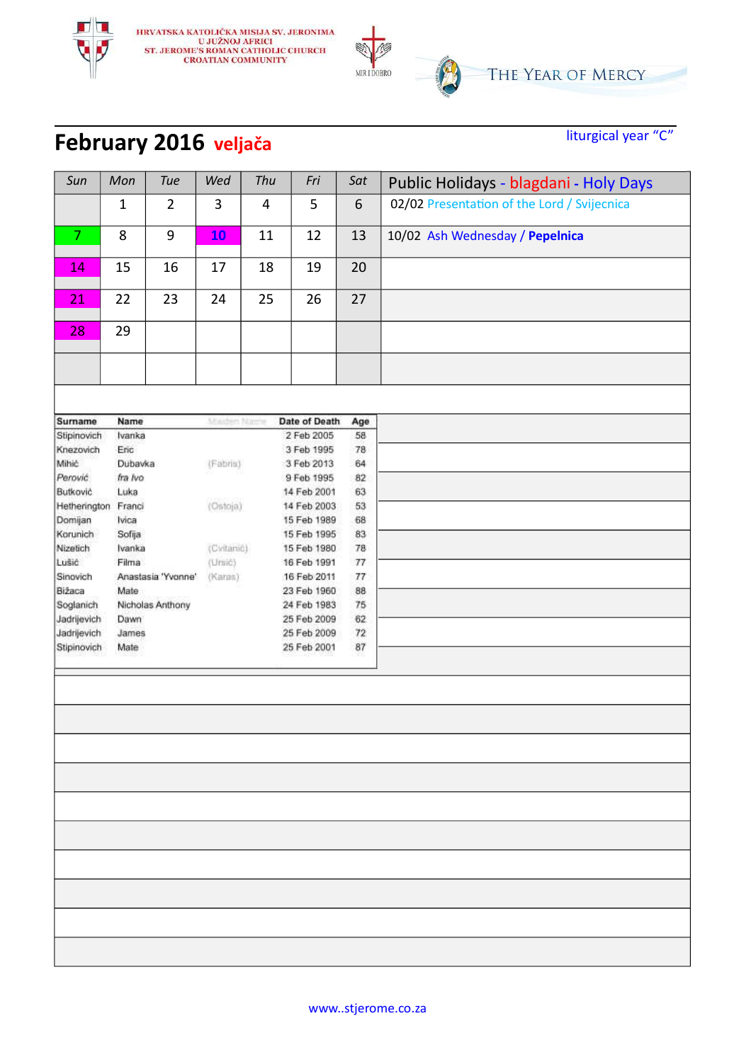

#### **February 2016 veljača** liturgical year "C"

| Sun            | Mon          | <b>Tue</b>         | Wed          | Thu                   | Fri                        | Sat         | Public Holidays - blagdani - Holy Days      |
|----------------|--------------|--------------------|--------------|-----------------------|----------------------------|-------------|---------------------------------------------|
|                | $\mathbf{1}$ | $\overline{2}$     | $\mathbf{3}$ | $\overline{4}$        | 5                          | 6           | 02/02 Presentation of the Lord / Svijecnica |
| $\overline{7}$ | 8            | 9                  | <b>10</b>    | 11                    | 12                         | 13          | 10/02 Ash Wednesday / Pepelnica             |
| 14             | 15           | 16                 | 17           | 18                    | 19                         | 20          |                                             |
| 21             | 22           | 23                 | 24           | 25                    | 26                         | 27          |                                             |
| 28             | 29           |                    |              |                       |                            |             |                                             |
|                |              |                    |              |                       |                            |             |                                             |
|                |              |                    |              |                       |                            |             |                                             |
| Surname        | Name         |                    | Maiden Nau's |                       | Date of Death              | Age         |                                             |
| Stipinovich    | Ivanka       |                    |              |                       | 2 Feb 2005                 | 58          |                                             |
| Knezovich      | Eric         |                    |              |                       | 3 Feb 1995                 | 78          |                                             |
| Mihić          | Dubavka      |                    | (Fabris)     |                       | 3 Feb 2013                 | 64          |                                             |
| Perović.       | fra Ivo      |                    |              |                       | 9 Feb 1995                 | 82          |                                             |
| Butković       | Luka         |                    |              |                       | 14 Feb 2001                | 63          |                                             |
| Hetherington   | Franci       |                    | (Ostoja)     |                       | 14 Feb 2003                | 53          |                                             |
| Domijan        | Ivica        |                    |              |                       | 15 Feb 1989                | 68          |                                             |
| Korunich       | Sofija       |                    |              |                       | 15 Feb 1995<br>15 Feb 1980 | 83          |                                             |
| Nizetich       | Ivanka       |                    |              | (Cyltanic)<br>(Uniid) |                            | 78          |                                             |
| Lušić          | Filma        |                    |              |                       | 16 Feb 1991                | 77          |                                             |
| Sinovich       |              | Anastasia 'Yvonne' | (Karas)      |                       | 16 Feb 2011                | 77          |                                             |
| Bižaca         | Mate         |                    |              |                       | 23 Feb 1960                | 88          |                                             |
| Soglanich      |              | Nicholas Anthony   |              |                       | 24 Feb 1983                | 75          |                                             |
| Jadrijevich    | Dawn         |                    |              |                       | 25 Feb 2009                | 62          |                                             |
| Jadrijevich    | James        |                    |              |                       | 25 Feb 2009                | 72          |                                             |
| Stipinovich    | Mate         |                    |              |                       | 25 Feb 2001                | $_{\rm 87}$ |                                             |
|                |              |                    |              |                       |                            |             |                                             |
|                |              |                    |              |                       |                            |             |                                             |
|                |              |                    |              |                       |                            |             |                                             |
|                |              |                    |              |                       |                            |             |                                             |
|                |              |                    |              |                       |                            |             |                                             |
|                |              |                    |              |                       |                            |             |                                             |
|                |              |                    |              |                       |                            |             |                                             |
|                |              |                    |              |                       |                            |             |                                             |
|                |              |                    |              |                       |                            |             |                                             |
|                |              |                    |              |                       |                            |             |                                             |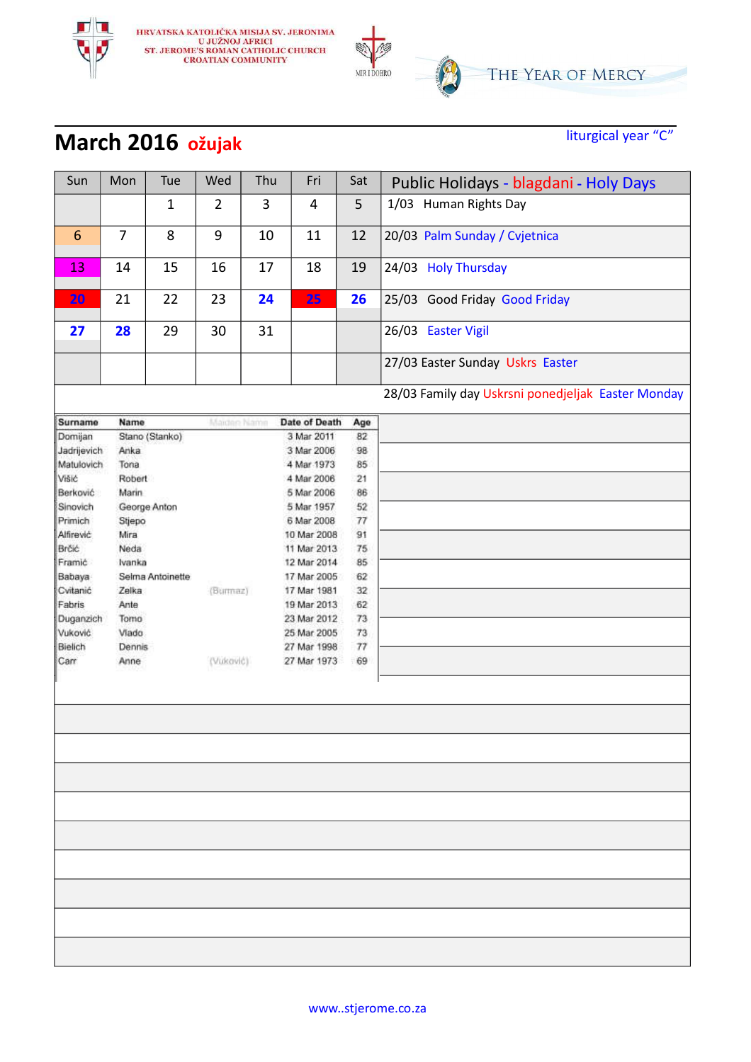

# **March 2016 ožujak** liturgical year "C"

| Sun            | Mon            | Tue              | Wed            | Thu         | Fri           | Sat    | Public Holidays - blagdani - Holy Days             |
|----------------|----------------|------------------|----------------|-------------|---------------|--------|----------------------------------------------------|
|                |                | $\mathbf{1}$     | $\overline{2}$ | 3           | 4             | 5      | 1/03 Human Rights Day                              |
| $6\phantom{1}$ | $\overline{7}$ | 8                | $9\,$          | 10          | 11            | 12     | 20/03 Palm Sunday / Cvjetnica                      |
| 13             | 14             | 15               | 16             | 17          | 18            | 19     | 24/03 Holy Thursday                                |
| 20             | 21             | 22               | 23             | 24          | 25            | 26     | 25/03 Good Friday Good Friday                      |
| 27             | 28             | 29               | 30             | 31          |               |        | 26/03 Easter Vigil                                 |
|                |                |                  |                |             |               |        | 27/03 Easter Sunday Uskrs Easter                   |
|                |                |                  |                |             |               |        | 28/03 Family day Uskrsni ponedjeljak Easter Monday |
| Surname        | Name           |                  | Maiden Name    |             | Date of Death | Age    |                                                    |
| Domijan        |                | Stano (Stanko)   |                |             | 3 Mar 2011    | 82     |                                                    |
| Jadrijevich    | Anka           |                  |                |             | 3 Mar 2006    | 98     |                                                    |
| Matulovich     | Tona           |                  |                |             | 4 Mar 1973    | 85     |                                                    |
| Višić          | Robert         |                  |                |             | 4 Mar 2006    | 21     |                                                    |
| Berković       | Marin          |                  |                |             | 5 Mar 2006    | 86     |                                                    |
| Sinovich       |                | George Anton     |                |             | 5 Mar 1957    | 52     |                                                    |
| Primich        | Stjepo         |                  |                |             | 6 Mar 2008    | 77     |                                                    |
| Alfirević      | Mira           |                  |                | 10 Mar 2008 |               | 91     |                                                    |
| Brčić          | Neda           |                  |                |             | 11 Mar 2013   | 75     |                                                    |
| Framić         | Ivanka         |                  |                | 12 Mar 2014 |               | 85     |                                                    |
| Babaya         |                | Selma Antoinette |                | 17 Mar 2005 |               | 62     |                                                    |
| Cvitanić       | Zelka          |                  | (Burmaz)       |             | 17 Mar 1981   | 32     |                                                    |
| Fabris         | Ante           |                  |                |             | 19 Mar 2013   | 62     |                                                    |
| Duganzich      | Tomo           |                  |                |             | 23 Mar 2012   | 73     |                                                    |
| Vuković        | Viado          |                  |                |             | 25 Mar 2005   | 73     |                                                    |
| Bielich        | Dennis         |                  |                |             | 27 Mar 1998   | $77\,$ |                                                    |
| Carr           | Anne           |                  | (Vukavić)      |             | 27 Mar 1973   | 69     |                                                    |
|                |                |                  |                |             |               |        |                                                    |
|                |                |                  |                |             |               |        |                                                    |
|                |                |                  |                |             |               |        |                                                    |
|                |                |                  |                |             |               |        |                                                    |
|                |                |                  |                |             |               |        |                                                    |
|                |                |                  |                |             |               |        |                                                    |
|                |                |                  |                |             |               |        |                                                    |
|                |                |                  |                |             |               |        |                                                    |
|                |                |                  |                |             |               |        |                                                    |
|                |                |                  |                |             |               |        |                                                    |
|                |                |                  |                |             |               |        |                                                    |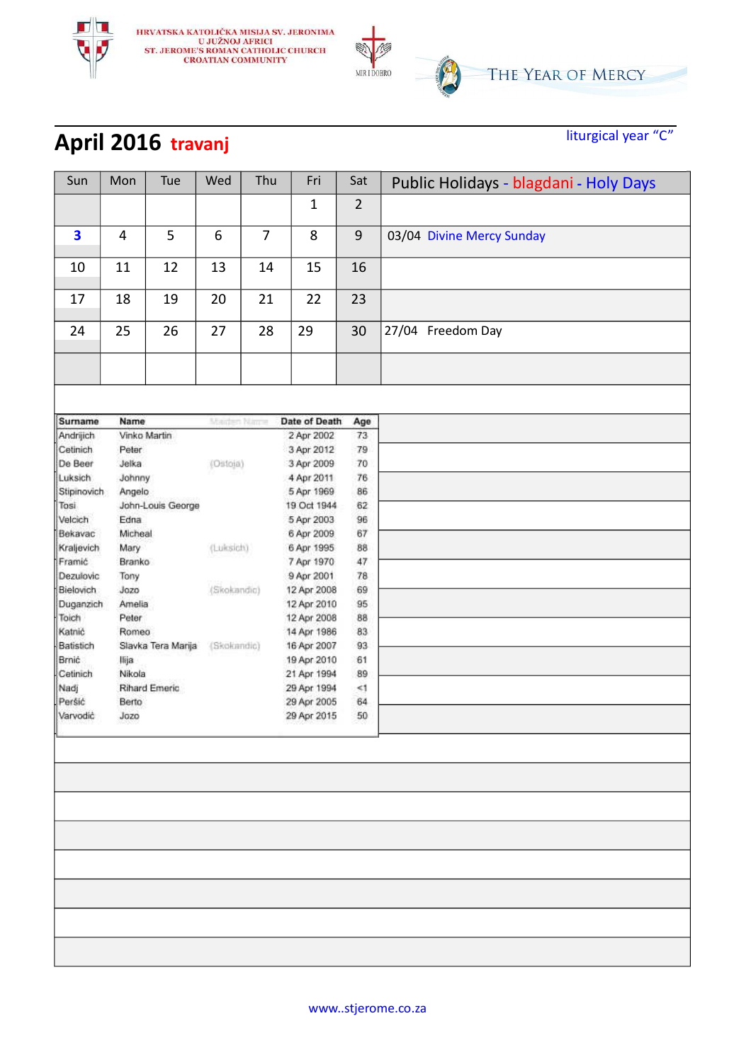

# **April 2016** travanj liturgical year "C"

| Sun                     | Mon     | Tue                | Wed          | Thu            | Fri           | Sat            | Public Holidays - blagdani - Holy Days |
|-------------------------|---------|--------------------|--------------|----------------|---------------|----------------|----------------------------------------|
|                         |         |                    |              |                | 1             | $\overline{2}$ |                                        |
|                         |         |                    |              |                |               |                |                                        |
| $\overline{\mathbf{3}}$ | 4       | 5                  | 6            | $\overline{7}$ | 8             | $\overline{9}$ | 03/04 Divine Mercy Sunday              |
| 10                      | 11      | 12                 | 13           | 14             | 15            | 16             |                                        |
| 17                      | 18      | 19                 | 20           | 21             | 22            | 23             |                                        |
| 24                      | 25      | 26                 | 27           | 28             | 29            | 30             | 27/04 Freedom Day                      |
|                         |         |                    |              |                |               |                |                                        |
|                         |         |                    |              |                |               |                |                                        |
| Surname                 | Name    |                    | Maiden Naire |                | Date of Death | Age            |                                        |
| Andrijich               |         | Vinko Martin       |              |                | 2 Apr 2002    | 73             |                                        |
| Cetinich                | Peter   |                    |              |                | 3 Apr 2012    | 79             |                                        |
| De Beer                 | Jelka   |                    | (Ostoja)     |                | 3 Apr 2009    | 70             |                                        |
| Luksich                 | Johnny  |                    |              |                | 4 Apr 2011    | 76             |                                        |
| Stipinovich             | Angelo  |                    |              |                | 5 Apr 1969    | 86             |                                        |
| Tosi                    |         | John-Louis George  |              |                | 19 Oct 1944   | 62             |                                        |
| Velcich                 | Edna    |                    |              |                | 5 Apr 2003    | 96             |                                        |
| Bekavac                 | Micheal |                    |              |                | 6 Apr 2009    | 67             |                                        |
| Kraljevich              | Mary    |                    | (Luksich)    |                | 6 Apr 1995    | 88             |                                        |
| Framić                  | Branko  |                    |              |                | 7 Apr 1970    | $47\,$         |                                        |
| Dezulovic               | Tony    |                    |              |                | 9 Apr 2001    | 78             |                                        |
| Bielovich               | Jozo    |                    | (Skokandic)  |                | 12 Apr 2008   | 69             |                                        |
| Duganzich               | Amelia  |                    |              |                | 12 Apr 2010   | 95             |                                        |
| Toich                   | Peter   |                    |              |                | 12 Apr 2008   | 88             |                                        |
| Katnić                  | Romeo   |                    |              |                | 14 Apr 1986   | 83             |                                        |
| Batistich               |         | Slavka Tera Marija | (Skokandic)  |                | 16 Apr 2007   | 93             |                                        |
| Brnić                   | llija   |                    |              |                | 19 Apr 2010   | 61             |                                        |
| Cetinich                | Nikola  |                    |              |                | 21 Apr 1994   | 89             |                                        |
| Nadj                    |         | Rihard Emeric      |              |                | 29 Apr 1994   | $\leq 1$       |                                        |
| Peršić                  | Berto   |                    |              |                | 29 Apr 2005   | 64             |                                        |
| Varvodić                | Jozo    |                    |              |                | 29 Apr 2015   | 50             |                                        |
|                         |         |                    |              |                |               |                |                                        |
|                         |         |                    |              |                |               |                |                                        |
|                         |         |                    |              |                |               |                |                                        |
|                         |         |                    |              |                |               |                |                                        |
|                         |         |                    |              |                |               |                |                                        |
|                         |         |                    |              |                |               |                |                                        |
|                         |         |                    |              |                |               |                |                                        |
|                         |         |                    |              |                |               |                |                                        |
|                         |         |                    |              |                |               |                |                                        |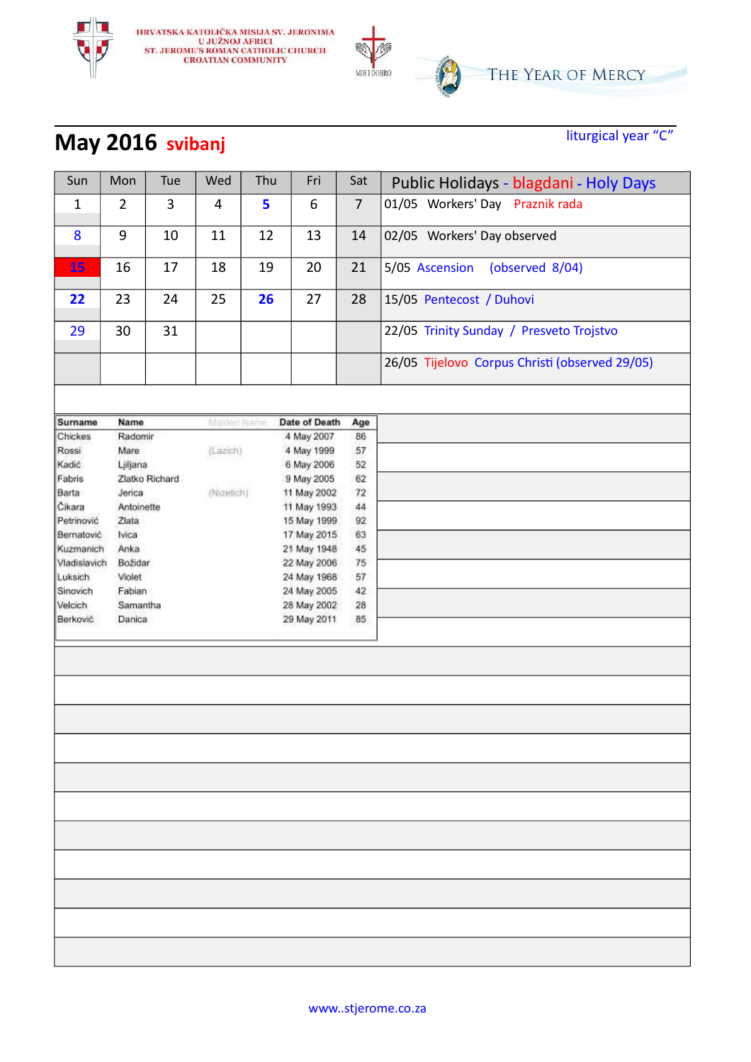

#### **May 2016** svibanj<br> **May 2016** svibanj

| Sun          | Mon            | Tue            | Wed         | Thu | Fri           | Sat            | Public Holidays - blagdani - Holy Days         |
|--------------|----------------|----------------|-------------|-----|---------------|----------------|------------------------------------------------|
| $\mathbf{1}$ | $\overline{2}$ | 3              | 4           | 5   | 6             | $\overline{7}$ | 01/05 Workers' Day Praznik rada                |
| 8            | 9              | 10             | 11          | 12  | 13            | 14             | 02/05 Workers' Day observed                    |
| 15           | 16             | 17             | 18          | 19  | 20            | 21             | 5/05 Ascension<br>(observed 8/04)              |
| 22           | 23             | 24             | 25          | 26  | 27            | 28             | 15/05 Pentecost / Duhovi                       |
| 29           | 30             | 31             |             |     |               |                | 22/05 Trinity Sunday / Presveto Trojstvo       |
|              |                |                |             |     |               |                | 26/05 Tijelovo Corpus Christi (observed 29/05) |
|              |                |                |             |     |               |                |                                                |
| Surname      | Name           |                | Maiden Name |     | Date of Death | Age            |                                                |
| Chickes      | Radomir        |                |             |     | 4 May 2007    | 86             |                                                |
| Rossi        | Mare           |                | (Lazich)    |     | 4 May 1999    | 57             |                                                |
| Kadić        | Ljiljana       |                |             |     | 6 May 2006    | 52             |                                                |
| Fabris       |                | Zlatko Richard |             |     | 9 May 2005    | 62             |                                                |
| Barta        | Jenca          |                | (Nizetich)  |     | 11 May 2002   | 72             |                                                |
| Cikara       | Antoinette     |                |             |     | 11 May 1993   | 44             |                                                |
| Petrinović   | Ziata          |                |             |     | 15 May 1999   | 92             |                                                |
| Bernatović   | Ivica          |                |             |     | 17 May 2015   | 63             |                                                |
| Kuzmanich    | Anka           |                |             |     | 21 May 1948   | 45             |                                                |
| Vladislavich | Božidar        |                |             |     | 22 May 2006   | 75             |                                                |
| Luksich      | Violet         |                |             |     | 24 May 1968   | 57             |                                                |
| Sinovich     | Fabian         |                |             |     | 24 May 2005   | 42             |                                                |
| Velcich      | Samantha       |                |             |     | 28 May 2002   | 28             |                                                |
| Berković     | Danica         |                |             |     | 29 May 2011   | 85             |                                                |
|              |                |                |             |     |               |                |                                                |
|              |                |                |             |     |               |                |                                                |
|              |                |                |             |     |               |                |                                                |
|              |                |                |             |     |               |                |                                                |
|              |                |                |             |     |               |                |                                                |
|              |                |                |             |     |               |                |                                                |
|              |                |                |             |     |               |                |                                                |
|              |                |                |             |     |               |                |                                                |
|              |                |                |             |     |               |                |                                                |
|              |                |                |             |     |               |                |                                                |
|              |                |                |             |     |               |                |                                                |
|              |                |                |             |     |               |                |                                                |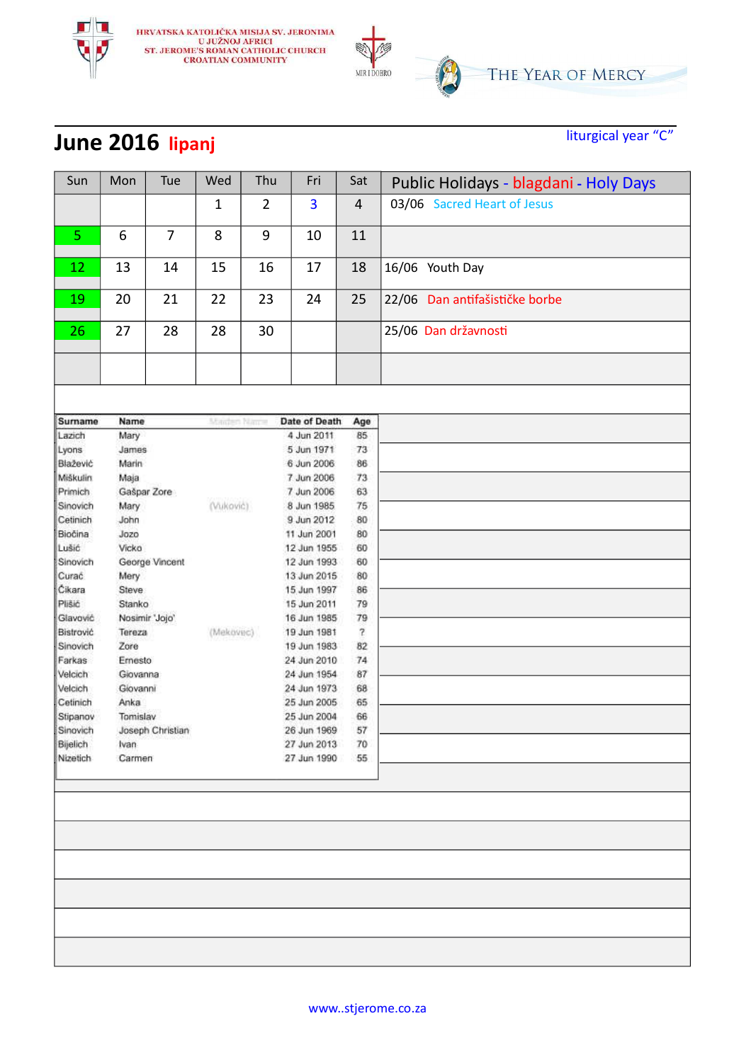

# **June 2016 lipanj** liturgical year "C"

| Sun                  | Mon            | Tue              | Wed          | Thu            | Fri                        | Sat                     | Public Holidays - blagdani - Holy Days |
|----------------------|----------------|------------------|--------------|----------------|----------------------------|-------------------------|----------------------------------------|
|                      |                |                  | $\mathbf{1}$ | $\overline{2}$ | 3                          | $\overline{4}$          | 03/06 Sacred Heart of Jesus            |
| 5                    | 6              | $\overline{7}$   | 8            | $9\,$          | 10                         | 11                      |                                        |
|                      |                |                  |              |                |                            |                         |                                        |
| 12                   | 13             | 14               | 15           | 16             | 17                         | 18                      | 16/06 Youth Day                        |
| 19                   | 20             | 21               | 22           | 23             | 24                         | 25                      | 22/06 Dan antifašističke borbe         |
| 26                   | 27             | 28               | 28           | 30             |                            |                         | 25/06 Dan državnosti                   |
|                      |                |                  |              |                |                            |                         |                                        |
|                      |                |                  |              |                |                            |                         |                                        |
| Surname              | Name           |                  | Maiden Nauer |                | Date of Death              | Age                     |                                        |
| Lazich               | Mary           |                  |              |                | 4 Jun 2011                 | 85                      |                                        |
| Lyons                | James          |                  |              |                | 5 Jun 1971                 | 73                      |                                        |
| Blažević             | Marin          |                  |              |                | 6 Jun 2006                 | 86                      |                                        |
| Miškulin             | Маја           |                  |              |                | 7 Jun 2006                 | 73                      |                                        |
| Primich              |                | Gašpar Zore      |              |                | 7 Jun 2006                 | 63                      |                                        |
| Sinovich             | Mary           |                  | (Vuković)    |                | 8 Jun 1985                 | 75                      |                                        |
| Cetinich             | John           |                  |              |                | 9 Jun 2012                 | 80                      |                                        |
| Biočina              | Jozo           |                  |              |                | 11 Jun 2001                | 80                      |                                        |
| Lušić                | Vicko          |                  |              |                | 12 Jun 1955                | 60                      |                                        |
| Sinovich             |                | George Vincent   |              |                | 12 Jun 1993                | 60                      |                                        |
| Curac                | Mery           |                  |              |                | 13 Jun 2015                | 80                      |                                        |
| Cikara               | Steve          |                  |              |                | 15 Jun 1997                | 86                      |                                        |
| Plišić               | Stanko         |                  |              |                | 15 Jun 2011                | 79                      |                                        |
| Glavović             |                | Nosimir 'Jojo'   |              |                | 16 Jun 1985                | 79                      |                                        |
| Bistrović            | Tereza         |                  | (Mekovec)    |                | 19 Jun 1981                | $\overline{\mathbf{r}}$ |                                        |
| Sinovich             | Zore           |                  |              |                | 19 Jun 1983                | 82                      |                                        |
| Farkas               | Ernesto        |                  |              |                | 24 Jun 2010                | 74                      |                                        |
| Velcich              | Giovanna       |                  |              |                | 24 Jun 1954                | 87                      |                                        |
| Velcich              | Giovanni       |                  |              |                | 24 Jun 1973                | 68                      |                                        |
| Cetinich             | Anka           |                  |              |                | 25 Jun 2005                | 65                      |                                        |
| Stipanov             | Tomislav       |                  |              |                | 25 Jun 2004                | 66                      |                                        |
| Sinovich             |                | Joseph Christian |              |                | 26 Jun 1969                | 57                      |                                        |
| Bijelich<br>Nizetich | Ivan<br>Carmen |                  |              |                | 27 Jun 2013<br>27 Jun 1990 | 70<br>55                |                                        |
|                      |                |                  |              |                |                            |                         |                                        |
|                      |                |                  |              |                |                            |                         |                                        |
|                      |                |                  |              |                |                            |                         |                                        |
|                      |                |                  |              |                |                            |                         |                                        |
|                      |                |                  |              |                |                            |                         |                                        |
|                      |                |                  |              |                |                            |                         |                                        |
|                      |                |                  |              |                |                            |                         |                                        |
|                      |                |                  |              |                |                            |                         |                                        |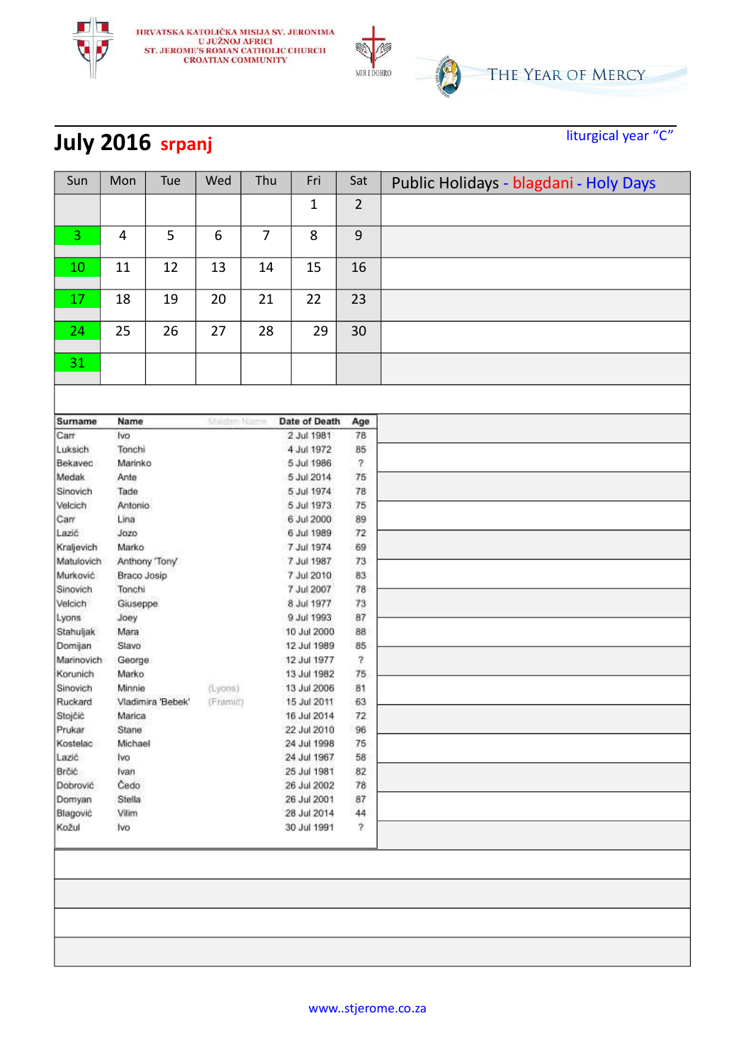

# **July 2016 srpanj** liturgical year "C"

| Sun                | Mon          | Tue               | Wed         | Thu | Fri                        | Sat                      | Public Holidays - blagdani - Holy Days |
|--------------------|--------------|-------------------|-------------|-----|----------------------------|--------------------------|----------------------------------------|
|                    |              |                   |             |     | $\mathbf{1}$               | $\overline{2}$           |                                        |
| 3                  | 4            | 5                 | 6           | 7   | 8                          | 9                        |                                        |
|                    |              |                   |             |     |                            |                          |                                        |
| 10                 | 11           | 12                | 13          | 14  | 15                         | 16                       |                                        |
| 17                 | 18           | 19                | 20          | 21  | 22                         | 23                       |                                        |
|                    |              |                   |             |     |                            |                          |                                        |
| 24                 | 25           | 26                | 27          | 28  | 29                         | 30                       |                                        |
| 31                 |              |                   |             |     |                            |                          |                                        |
|                    |              |                   |             |     |                            |                          |                                        |
| Surname            | Name         |                   | Maiden Name |     | Date of Death              | Age                      |                                        |
| Carr               | Ivo          |                   |             |     | 2 Jul 1981                 | 78                       |                                        |
| Luksich            | Tonchi       |                   |             |     | 4 Jul 1972                 | 85                       |                                        |
| Bekavec            | Marinko      |                   |             |     | 5 Jul 1986                 | $\boldsymbol{r}$         |                                        |
| Medak              | Ante         |                   |             |     | 5 Jul 2014                 | 75                       |                                        |
| Sinovich           | Tade         |                   |             |     | 5 Jul 1974                 | 78                       |                                        |
| Velcich            | Antonio      |                   |             |     | 5 Jul 1973                 | 75                       |                                        |
| Carr               | Lina         |                   |             |     | 6 Jul 2000                 | 89                       |                                        |
| Lazić              | Jozo         |                   |             |     | 6 Jul 1989                 | 72                       |                                        |
| Kraljevich         | Marko        |                   |             |     | 7 Jul 1974                 | 69                       |                                        |
| Matulovich         |              | Anthony Tony      |             |     | 7 Jul 1987                 | 73                       |                                        |
| Murković           | Braco Josip  |                   |             |     | 7 Jul 2010                 | 83                       |                                        |
| Sinovich           | Tonchi       |                   |             |     | 7 Jul 2007                 | 78                       |                                        |
| Velcich            | Giuseppe     |                   |             |     | 8 Jul 1977                 | 73                       |                                        |
| Lyons              |              |                   |             |     | 9 Jul 1993                 | 87                       |                                        |
|                    | Joey<br>Mara |                   |             |     |                            |                          |                                        |
| Stahuljak          | Slavo        |                   |             |     | 10 Jul 2000<br>12 Jul 1989 | 88<br>85                 |                                        |
| Domijan            |              |                   |             |     |                            |                          |                                        |
| Marinovich         | George       |                   |             |     | 12 Jul 1977                | $\overline{\mathcal{E}}$ |                                        |
| Korunich           | Marko        |                   |             |     | 13 Jul 1982                | 75                       |                                        |
| Sinovich           | Minnie       |                   | (Lyons)     |     | 13 Jul 2006                | 81                       |                                        |
| Ruckard            |              | Vladimira 'Bebek' | (Framić)    |     | 15 Jul 2011                | 63                       |                                        |
| Stojčić            | Marica       |                   |             |     | 16 Jul 2014                | 72                       |                                        |
| Prukar             | Stane        |                   |             |     | 22 Jul 2010                | 96                       |                                        |
| Kostelac           | Michael      |                   |             |     | 24 Jul 1998                | 75                       |                                        |
| Lazić              | Ivo          |                   |             |     | 24 Jul 1967<br>25 Jul 1981 | 58                       |                                        |
| Broc               | Ivan         |                   |             |     | 26 Jul 2002                | 82                       |                                        |
| Dobrović           | Čedo         |                   |             |     |                            | 78                       |                                        |
| Domyan<br>Blagović | Stella       |                   |             |     | 26 Jul 2001                | 87                       |                                        |
| Kožul              | Vilim        |                   |             |     | 28 Jul 2014<br>30 Jul 1991 | 44<br>$\overline{r}$     |                                        |
|                    | Ivo          |                   |             |     |                            |                          |                                        |
|                    |              |                   |             |     |                            |                          |                                        |
|                    |              |                   |             |     |                            |                          |                                        |
|                    |              |                   |             |     |                            |                          |                                        |
|                    |              |                   |             |     |                            |                          |                                        |
|                    |              |                   |             |     |                            |                          |                                        |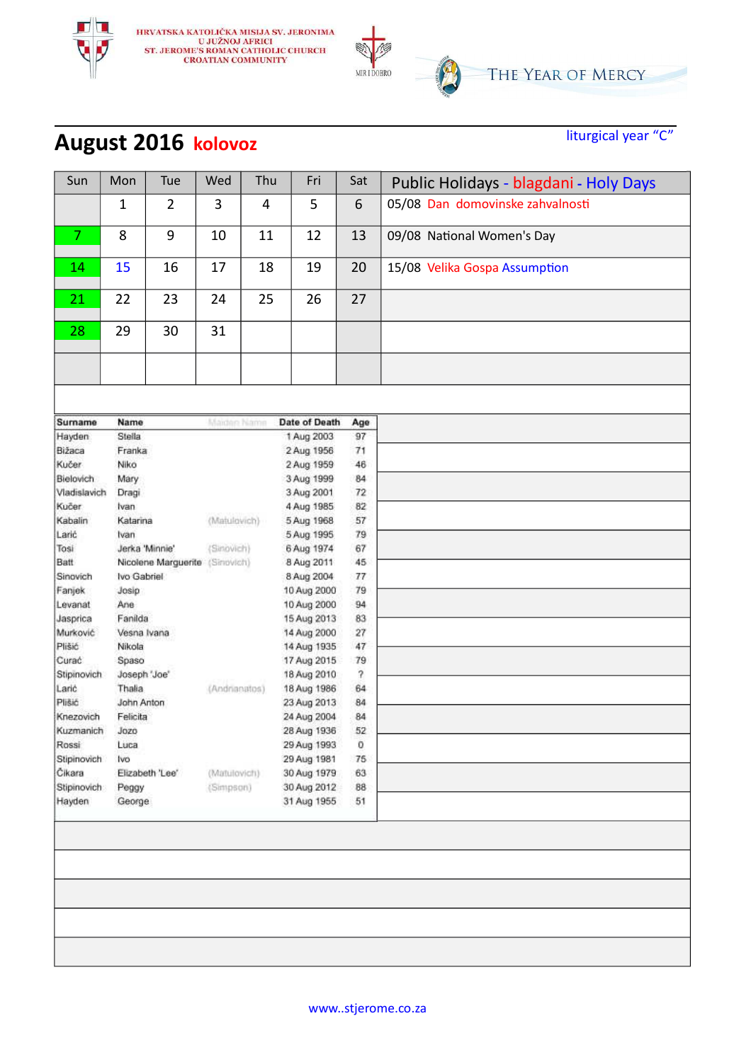

# **August 2016 kolovoz** liturgical year "C"

| Sun               | Mon          | Tue                            | Wed           | Thu | Fri                        | Sat                      | Public Holidays - blagdani - Holy Days |
|-------------------|--------------|--------------------------------|---------------|-----|----------------------------|--------------------------|----------------------------------------|
|                   | $\mathbf{1}$ | $\overline{2}$                 | 3             | 4   | 5                          | 6                        | 05/08 Dan domovinske zahvalnosti       |
| $\overline{7}$    | 8            | 9                              | 10            | 11  | 12                         | 13                       | 09/08 National Women's Day             |
| 14                | 15           | 16                             | 17            | 18  | 19                         | 20                       | 15/08 Velika Gospa Assumption          |
| 21                | 22           | 23                             | 24            | 25  | 26                         | 27                       |                                        |
| 28                | 29           | 30                             | 31            |     |                            |                          |                                        |
|                   |              |                                |               |     |                            |                          |                                        |
|                   |              |                                |               |     |                            |                          |                                        |
| Surname           | Name         |                                | Maiden Name   |     | <b>Date of Death</b>       | Age                      |                                        |
| Hayden            | Stella       |                                |               |     | 1 Aug 2003                 | 97                       |                                        |
| Bižaca            | Franka       |                                |               |     | 2 Aug 1956                 | 71                       |                                        |
| <b>Kučer</b>      | Niko         |                                |               |     | 2 Aug 1959                 | 46                       |                                        |
| Bielovich.        | Mary         |                                |               |     | 3 Aug 1999                 | 84                       |                                        |
| Vladislavich      | Dragi        |                                |               |     | 3 Aug 2001                 | 72                       |                                        |
| Kučer:            | Ivan         |                                |               |     | 4 Aug 1985                 | 82                       |                                        |
| Kabalin           | Katarina     |                                | (Matulovich)  |     | 5 Aug 1968                 | 57                       |                                        |
| Larić             | Ivan         | Jerka 'Minnie'                 |               |     | 5 Aug 1995                 | 79                       |                                        |
| Tosi              |              |                                | (Sinovich)    |     | 6 Aug 1974                 | 67                       |                                        |
| Batt              |              | Nicolene Marguerite (Simovich) |               |     | 8 Aug 2011                 | 45                       |                                        |
| Sinovich          | Ivo Gabriel  |                                |               |     | 8 Aug 2004                 | 77<br>79                 |                                        |
| Fanjek<br>Levanat | Josip<br>Ane |                                |               |     | 10 Aug 2000<br>10 Aug 2000 | 94                       |                                        |
| Jasprica          | Fanilda      |                                |               |     | 15 Aug 2013                | 83                       |                                        |
| Murković          | Vesna Ivana  |                                |               |     | 14 Aug 2000                | 27                       |                                        |
| Plišić            | Nikola       |                                |               |     | 14 Aug 1935                | 47                       |                                        |
| Curać             | Spaso        |                                |               |     | 17 Aug 2015                | 79                       |                                        |
| Stipinovich       | Joseph 'Joe' |                                |               |     | 18 Aug 2010                | $\overline{\mathcal{E}}$ |                                        |
| Laric             | Thalia       |                                | (Andrianatos) |     | 18 Aug 1986                | 64                       |                                        |
| Plišić            | John Anton   |                                |               |     | 23 Aug 2013                | 84                       |                                        |
| Knezovich         | Felicita     |                                |               |     | 24 Aug 2004                | 84                       |                                        |
| Kuzmanich         | Jozo         |                                |               |     | 28 Aug 1936                | 52                       |                                        |
| Rossi             | Luca         |                                |               |     | 29 Aug 1993                | 0                        |                                        |
| Stipinovich       | Ivo          |                                |               |     | 29 Aug 1981                | 75                       |                                        |
| Čikara            |              | Elizabeth 'Lee'                | (Matulovich)  |     | 30 Aug 1979                | 63                       |                                        |
| Stipinovich       | Peggy        |                                | (Simpson)     |     | 30 Aug 2012                | 88                       |                                        |
| Hayden            | George       |                                |               |     | 31 Aug 1955                | 51                       |                                        |
|                   |              |                                |               |     |                            |                          |                                        |
|                   |              |                                |               |     |                            |                          |                                        |
|                   |              |                                |               |     |                            |                          |                                        |
|                   |              |                                |               |     |                            |                          |                                        |
|                   |              |                                |               |     |                            |                          |                                        |
|                   |              |                                |               |     |                            |                          |                                        |
|                   |              |                                |               |     |                            |                          |                                        |
|                   |              |                                |               |     |                            |                          |                                        |
|                   |              |                                |               |     |                            |                          |                                        |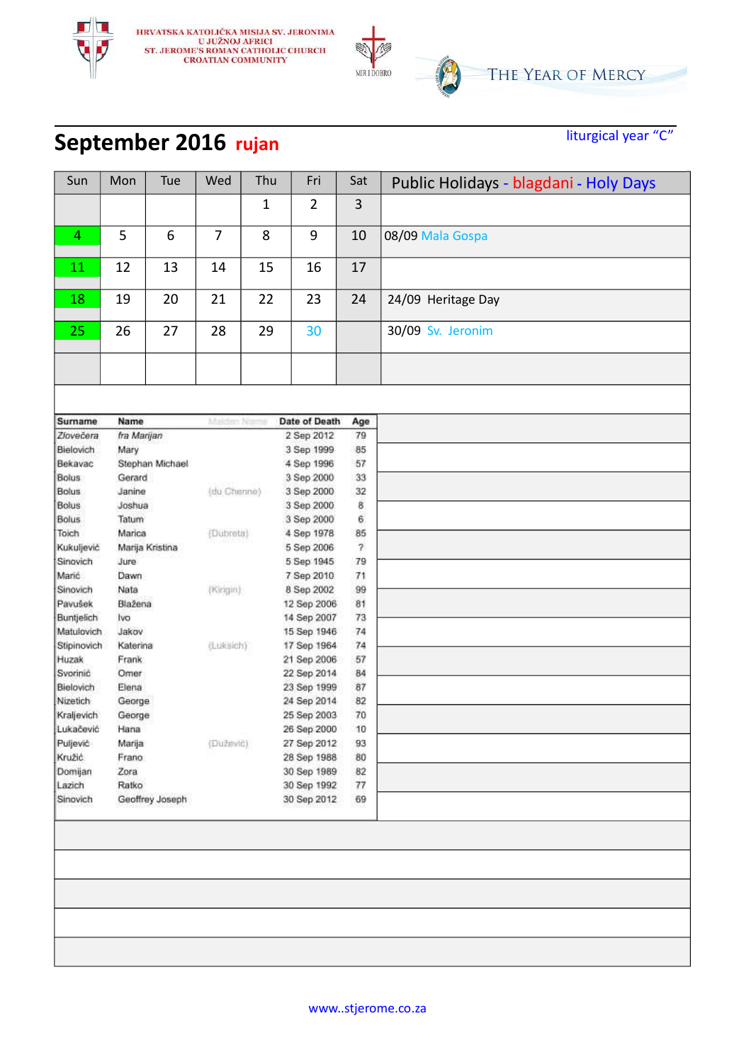

# **September 2016** rujan<br> **Example 2016** rujan

| Sun               | Mon           | Tue             | Wed            | Thu          | Fri                        | Sat                      | Public Holidays - blagdani - Holy Days |
|-------------------|---------------|-----------------|----------------|--------------|----------------------------|--------------------------|----------------------------------------|
|                   |               |                 |                | $\mathbf{1}$ | $\overline{2}$             | 3                        |                                        |
|                   |               |                 |                |              |                            |                          |                                        |
| 4                 | 5             | 6               | $\overline{7}$ | 8            | 9                          | 10                       | 08/09 Mala Gospa                       |
| 11                | 12            | 13              | 14             | 15           | 16                         | 17                       |                                        |
| 18                | 19            | 20              | 21             | 22           | 23                         | 24                       | 24/09 Heritage Day                     |
| 25                | 26            | 27              | 28             | 29           | 30                         |                          | 30/09 Sv. Jeronim                      |
|                   |               |                 |                |              |                            |                          |                                        |
|                   |               |                 |                |              |                            |                          |                                        |
| Sumame            | Name          |                 | Malden Na-     |              | Date of Death              |                          |                                        |
| Zlovečera         | fra Marijan   |                 |                |              | 2 Sep 2012                 | Age<br>79                |                                        |
| Bielovich         | Mary          |                 |                |              | 3 Sep 1999                 | 85                       |                                        |
| Bekavac           |               | Stephan Michael |                |              | 4 Sep 1996                 | 57                       |                                        |
| <b>Bolus</b>      | Gerard        |                 |                |              | 3 Sep 2000                 | 33                       |                                        |
| Bolus             | Janine        |                 | (du Chenne)    |              | 3 Sep 2000                 | 32                       |                                        |
| <b>Bolus</b>      | Joshua        |                 |                |              | 3 Sep 2000                 | 8                        |                                        |
| <b>Bolus</b>      | Tatum         |                 |                |              | 3 Sep 2000                 | 6                        |                                        |
| Toich             | Marica        |                 | (Dubreta)      |              |                            | 85                       |                                        |
|                   |               | Marija Kristina |                |              | 4 Sep 1978                 | $\overline{\mathcal{E}}$ |                                        |
| Kukuljević        |               |                 |                |              | 5 Sep 2006                 |                          |                                        |
| Sinovich          | Jure          |                 |                |              | 5 Sep 1945                 | 79                       |                                        |
| Marić             | Dawn          |                 |                |              | 7 Sep 2010                 | 71                       |                                        |
| Sinovich          | Nata          |                 | (Kirigin)      |              | 8 Sep 2002                 | 99                       |                                        |
| Pavušek           | Blažena       |                 |                |              | 12 Sep 2006                | 81                       |                                        |
| Buntjelich        | Ivo           |                 |                |              | 14 Sep 2007                | 73                       |                                        |
| Matulovich        | Jakov         |                 |                |              | 15 Sep 1946                | 74                       |                                        |
| Stipinovich       | Katerina      |                 | (Luksich)      |              | 17 Sep 1964                | 74                       |                                        |
| Huzak             | Frank         |                 |                |              | 21 Sep 2006                | 57                       |                                        |
| Svorinic          | Omer          |                 |                |              | 22 Sep 2014                | 84                       |                                        |
| Bielovich         | Elena         |                 |                |              | 23 Sep 1999                | 87                       |                                        |
| Nizetich          | George        |                 |                |              | 24 Sep 2014                | 82                       |                                        |
| Kraljevich        | George        |                 |                |              | 25 Sep 2003                | 70                       |                                        |
| Lukačević         | Hana          |                 |                |              | 26 Sep 2000                | 10                       |                                        |
| Puljević          | Marija        |                 | (Dužević)      |              | 27 Sep 2012                | 93                       |                                        |
| Kružić            | Frano         |                 |                |              | 28 Sep 1988                | 80                       |                                        |
| Domijan<br>Lazich | Zora<br>Ratko |                 |                |              | 30 Sep 1989<br>30 Sep 1992 | 82<br>77                 |                                        |
| Sinovich          |               |                 |                |              |                            |                          |                                        |
|                   |               | Geoffrey Joseph |                |              | 30 Sep 2012                | 69                       |                                        |
|                   |               |                 |                |              |                            |                          |                                        |
|                   |               |                 |                |              |                            |                          |                                        |
|                   |               |                 |                |              |                            |                          |                                        |
|                   |               |                 |                |              |                            |                          |                                        |
|                   |               |                 |                |              |                            |                          |                                        |
|                   |               |                 |                |              |                            |                          |                                        |
|                   |               |                 |                |              |                            |                          |                                        |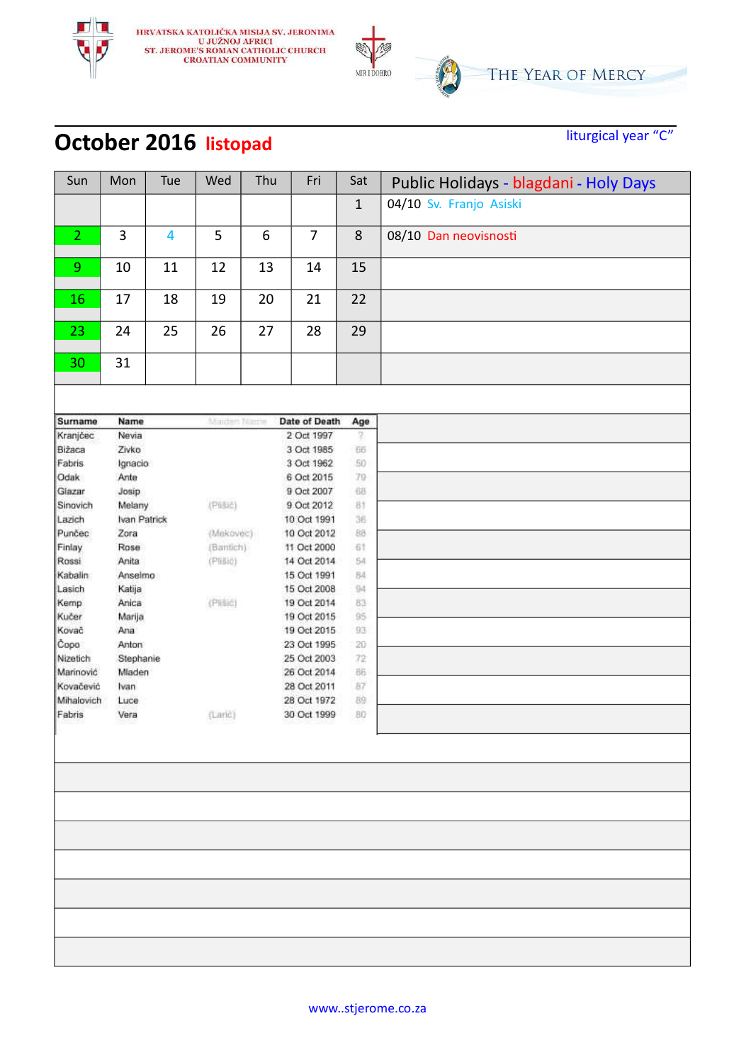

#### **October 2016** listopad<br> **CEOPER 2016** listopad

| Sun               | Mon             | Tue | Wed         | Thu     | Fri                        | Sat          | Public Holidays - blagdani - Holy Days |
|-------------------|-----------------|-----|-------------|---------|----------------------------|--------------|----------------------------------------|
|                   |                 |     |             |         |                            | $\mathbf{1}$ | 04/10 Sv. Franjo Asiski                |
| $\overline{2}$    | 3               | 4   | 5           | 6       | $\overline{7}$             | 8            | 08/10 Dan neovisnosti                  |
| 9                 | 10              | 11  | 12          | 13      | 14                         | 15           |                                        |
| 16                | 17              | 18  | 19          | 20      | 21                         | 22           |                                        |
| 23                | 24              | 25  | 26          | 27      | 28                         | 29           |                                        |
| 30                | 31              |     |             |         |                            |              |                                        |
|                   |                 |     |             |         |                            |              |                                        |
| <b>Surname</b>    | Name            |     | Manten Name |         | Date of Death              | Age          |                                        |
| Kranjčec          | Nevia           |     |             |         | 2 Oct 1997                 | 7.           |                                        |
| Bižaca            | Zivko           |     |             |         | 3 Oct 1985                 | 66           |                                        |
| Fabris            | Ignacio         |     |             |         | 3 Oct 1962                 | 50           |                                        |
| Odak              | Ante            |     |             |         | 6 Oct 2015                 | 79           |                                        |
| Glazar            | Josip           |     |             |         | 9 Oct 2007                 | 68           |                                        |
| Sinovich          | Melany          |     | (PBBid)     |         | 9 Oct 2012                 | 81           |                                        |
| Lazich            | Ivan Patrick    |     |             |         | 10 Oct 1991                | 36           |                                        |
| Punčec            | Zora            |     | (Mekovec)   |         | 10 Oct 2012                | BB           |                                        |
| Finlay            | Rose            |     | (Barrich)   |         | 11 Oct 2000                | 61           |                                        |
| Rossi             | Anita           |     | (Pfilio)    |         | 14 Oct 2014                | 54           |                                        |
| Kabalin<br>Lasich | Anselmo         |     |             |         | 15 Oct 1991<br>15 Oct 2008 | 84<br>94     |                                        |
| Kemp              | Katija<br>Anica |     |             | (Pisic) |                            | 83           |                                        |
| Kučer             | Marija          |     |             |         | 19 Oct 2014<br>19 Oct 2015 | 95           |                                        |
| Kovač             | Ana             |     |             |         | 19 Oct 2015                | 93           |                                        |
| Copo              | Anton           |     |             |         | 23 Oct 1995                | 20           |                                        |
| Nizetich          | Stephanie       |     |             |         | 25 Oct 2003                | 72           |                                        |
| Marinović         | Mladen          |     |             |         | 26 Oct 2014                | 86           |                                        |
| Kovačević         | Ivan            |     |             |         | 28 Oct 2011                | 87           |                                        |
| Mihalovich        | Luce            |     |             |         | 28 Oct 1972                | 89           |                                        |
| Fabris            | Vera            |     | (Laric)     |         | 30 Oct 1999                | BD           |                                        |
|                   |                 |     |             |         |                            |              |                                        |
|                   |                 |     |             |         |                            |              |                                        |
|                   |                 |     |             |         |                            |              |                                        |
|                   |                 |     |             |         |                            |              |                                        |
|                   |                 |     |             |         |                            |              |                                        |
|                   |                 |     |             |         |                            |              |                                        |
|                   |                 |     |             |         |                            |              |                                        |
|                   |                 |     |             |         |                            |              |                                        |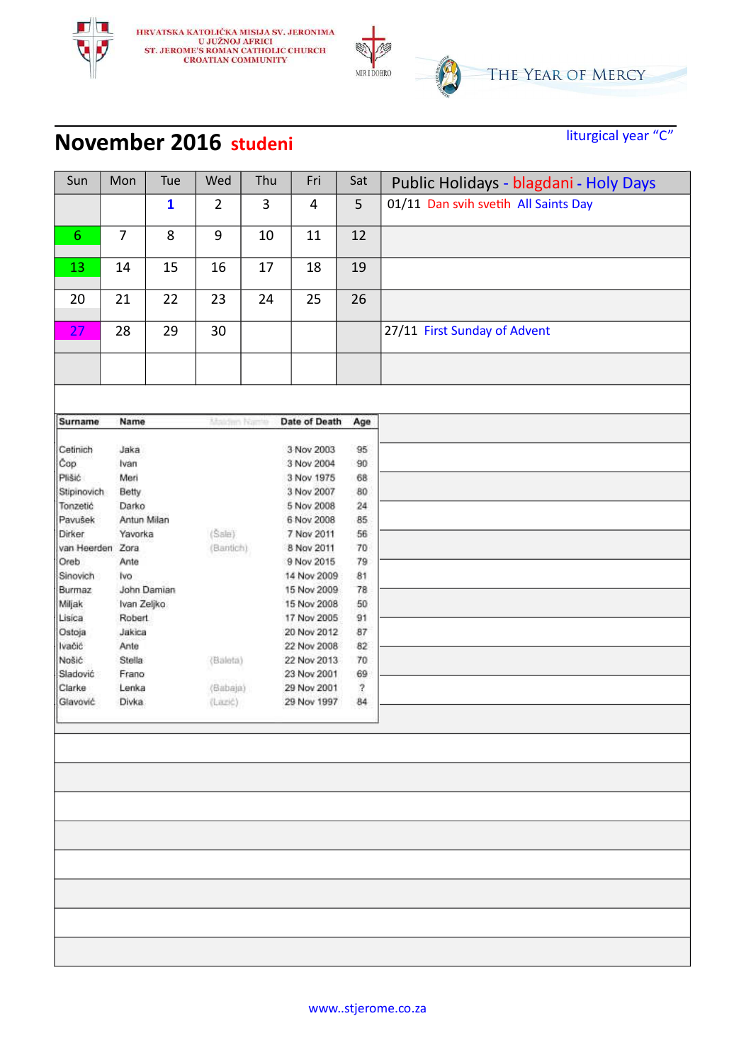

#### **November 2016** studeni<br> **November 2016** studeni

| Sun         | Mon              | Tue          | Wed            | Thu          | Fri            | Sat        | Public Holidays - blagdani - Holy Days |
|-------------|------------------|--------------|----------------|--------------|----------------|------------|----------------------------------------|
|             |                  | $\mathbf{1}$ | $\overline{2}$ | $\mathbf{3}$ | $\overline{4}$ | 5          | 01/11 Dan svih svetih All Saints Day   |
| 6           | $\overline{7}$   | 8            | 9              | 10           | 11             | 12         |                                        |
| 13          | 14               | 15           | 16             | 17           | 18             | 19         |                                        |
| 20          | 21               | 22           | 23             | 24           | 25             | 26         |                                        |
| 27          | 28               | 29           | 30             |              |                |            | 27/11 First Sunday of Advent           |
|             |                  |              |                |              |                |            |                                        |
| Surname     | Name             |              | Maldim Name    |              | Date of Death  | Age        |                                        |
| Cetinich    | Jaka             |              |                |              | 3 Nov 2003     | 95         |                                        |
| Cop         | Ivan             |              |                |              | 3 Nov 2004     | 90         |                                        |
| Plišić      | Meri             |              |                |              | 3 Nov 1975     | 68         |                                        |
| Stipinovich | Betty            |              |                |              | 3 Nov 2007     | 80         |                                        |
| Tonzetić    | Darko            |              |                |              | 5 Nov 2008     | $^{24}$    |                                        |
| Pavušek     | Antun Milan      |              |                |              | 6 Nov 2008     | 85         |                                        |
| Dirker      | Yavorka          |              | (Sale)         |              | 7 Nov 2011     | 56         |                                        |
| van Heerden | Zora             |              | (Bantich)      |              | 8 Nov 2011     | 70         |                                        |
| Oreb        | Ante             |              |                |              | 9 Nov 2015     | 79         |                                        |
| Sinovich    | Ivo <sup>1</sup> |              |                |              | 14 Nov 2009    | 81         |                                        |
| Burmaz      |                  | John Damian  |                |              | 15 Nov 2009    | 78         |                                        |
| Miljak      | Ivan Zeljko      |              |                |              | 15 Nov 2008    | 50         |                                        |
| Lisica      | <b>Robert</b>    |              |                |              | 17 Nov 2005    | 91         |                                        |
| Ostoja      | Jakica           |              |                |              | 20 Nov 2012    | 87         |                                        |
| Ivačić      | Ante             |              |                |              | 22 Nov 2008    | 82         |                                        |
| Nošić       | Stella           |              | (Baleta)       |              | 22 Nov 2013    | 70         |                                        |
| Sladović    | Frano            |              |                |              | 23 Nov 2001    | 69         |                                        |
| Clarke      | Lenka            |              | (Babaja)       |              | 29 Nov 2001    | $\sqrt{2}$ |                                        |
| Glavović    | <b>Divka</b>     |              | (Lazić)        |              | 29 Nov 1997    | 84         |                                        |
|             |                  |              |                |              |                |            |                                        |
|             |                  |              |                |              |                |            |                                        |
|             |                  |              |                |              |                |            |                                        |
|             |                  |              |                |              |                |            |                                        |
|             |                  |              |                |              |                |            |                                        |
|             |                  |              |                |              |                |            |                                        |
|             |                  |              |                |              |                |            |                                        |
|             |                  |              |                |              |                |            |                                        |